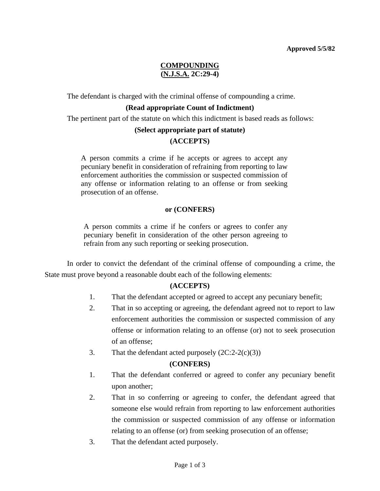# **COMPOUNDING (N.J.S.A. 2C:29-4)**

The defendant is charged with the criminal offense of compounding a crime.

## **(Read appropriate Count of Indictment)**

The pertinent part of the statute on which this indictment is based reads as follows:

## **(Select appropriate part of statute) (ACCEPTS)**

A person commits a crime if he accepts or agrees to accept any pecuniary benefit in consideration of refraining from reporting to law enforcement authorities the commission or suspected commission of any offense or information relating to an offense or from seeking prosecution of an offense.

### **or (CONFERS)**

A person commits a crime if he confers or agrees to confer any pecuniary benefit in consideration of the other person agreeing to refrain from any such reporting or seeking prosecution.

 In order to convict the defendant of the criminal offense of compounding a crime, the State must prove beyond a reasonable doubt each of the following elements:

### **(ACCEPTS)**

- 1. That the defendant accepted or agreed to accept any pecuniary benefit;
- 2. That in so accepting or agreeing, the defendant agreed not to report to law enforcement authorities the commission or suspected commission of any offense or information relating to an offense (or) not to seek prosecution of an offense;
- 3. That the defendant acted purposely  $(2C:2-2(c)(3))$

### **(CONFERS)**

- 1. That the defendant conferred or agreed to confer any pecuniary benefit upon another;
- 2. That in so conferring or agreeing to confer, the defendant agreed that someone else would refrain from reporting to law enforcement authorities the commission or suspected commission of any offense or information relating to an offense (or) from seeking prosecution of an offense;
- 3. That the defendant acted purposely.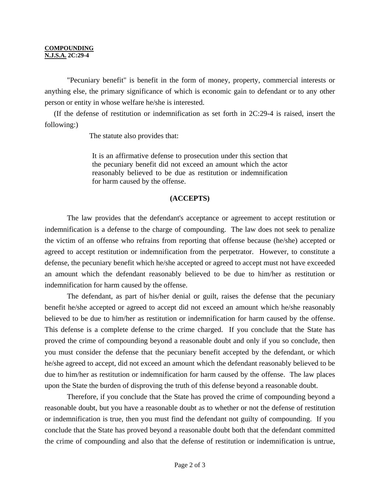#### **COMPOUNDING N.J.S.A. 2C:29-4**

 "Pecuniary benefit" is benefit in the form of money, property, commercial interests or anything else, the primary significance of which is economic gain to defendant or to any other person or entity in whose welfare he/she is interested.

 (If the defense of restitution or indemnification as set forth in 2C:29-4 is raised, insert the following:)

The statute also provides that:

It is an affirmative defense to prosecution under this section that the pecuniary benefit did not exceed an amount which the actor reasonably believed to be due as restitution or indemnification for harm caused by the offense.

### **(ACCEPTS)**

 The law provides that the defendant's acceptance or agreement to accept restitution or indemnification is a defense to the charge of compounding. The law does not seek to penalize the victim of an offense who refrains from reporting that offense because (he/she) accepted or agreed to accept restitution or indemnification from the perpetrator. However, to constitute a defense, the pecuniary benefit which he/she accepted or agreed to accept must not have exceeded an amount which the defendant reasonably believed to be due to him/her as restitution or indemnification for harm caused by the offense.

 The defendant, as part of his/her denial or guilt, raises the defense that the pecuniary benefit he/she accepted or agreed to accept did not exceed an amount which he/she reasonably believed to be due to him/her as restitution or indemnification for harm caused by the offense. This defense is a complete defense to the crime charged. If you conclude that the State has proved the crime of compounding beyond a reasonable doubt and only if you so conclude, then you must consider the defense that the pecuniary benefit accepted by the defendant, or which he/she agreed to accept, did not exceed an amount which the defendant reasonably believed to be due to him/her as restitution or indemnification for harm caused by the offense. The law places upon the State the burden of disproving the truth of this defense beyond a reasonable doubt.

 Therefore, if you conclude that the State has proved the crime of compounding beyond a reasonable doubt, but you have a reasonable doubt as to whether or not the defense of restitution or indemnification is true, then you must find the defendant not guilty of compounding. If you conclude that the State has proved beyond a reasonable doubt both that the defendant committed the crime of compounding and also that the defense of restitution or indemnification is untrue,